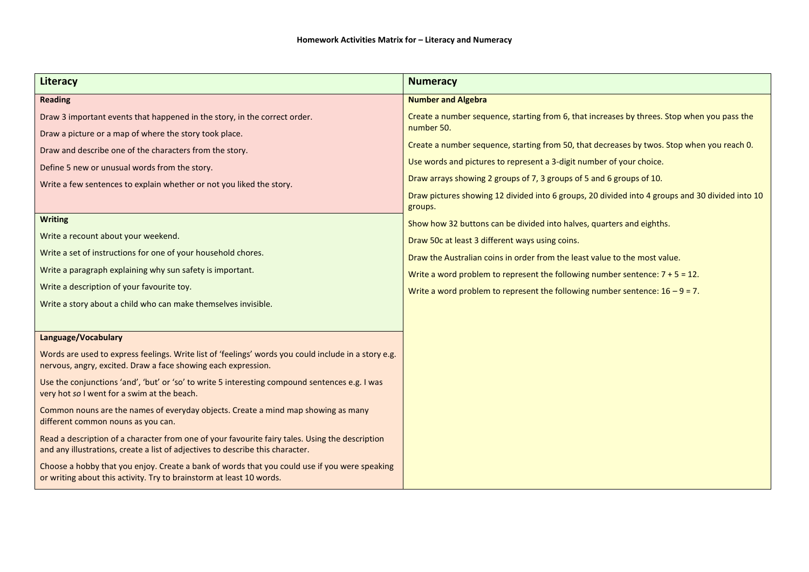| <b>Literacy</b>                                                                                                                                                                                                                                                                                                                                                                                                                                                                                                                                                                                                                | <b>Numeracy</b>                                                                                                                                                                                                                                                                                                                                                                                                                                                                                                                                                                                                                                                                                                                                                                                                                                       |
|--------------------------------------------------------------------------------------------------------------------------------------------------------------------------------------------------------------------------------------------------------------------------------------------------------------------------------------------------------------------------------------------------------------------------------------------------------------------------------------------------------------------------------------------------------------------------------------------------------------------------------|-------------------------------------------------------------------------------------------------------------------------------------------------------------------------------------------------------------------------------------------------------------------------------------------------------------------------------------------------------------------------------------------------------------------------------------------------------------------------------------------------------------------------------------------------------------------------------------------------------------------------------------------------------------------------------------------------------------------------------------------------------------------------------------------------------------------------------------------------------|
| <b>Reading</b>                                                                                                                                                                                                                                                                                                                                                                                                                                                                                                                                                                                                                 | <b>Number and Algebra</b>                                                                                                                                                                                                                                                                                                                                                                                                                                                                                                                                                                                                                                                                                                                                                                                                                             |
| Draw 3 important events that happened in the story, in the correct order.<br>Draw a picture or a map of where the story took place.<br>Draw and describe one of the characters from the story.<br>Define 5 new or unusual words from the story.<br>Write a few sentences to explain whether or not you liked the story.<br><b>Writing</b><br>Write a recount about your weekend.<br>Write a set of instructions for one of your household chores.<br>Write a paragraph explaining why sun safety is important.<br>Write a description of your favourite toy.<br>Write a story about a child who can make themselves invisible. | Create a number sequence, starting from 6, that increases by threes. Stop when you pass the<br>number 50.<br>Create a number sequence, starting from 50, that decreases by twos. Stop when you reach 0.<br>Use words and pictures to represent a 3-digit number of your choice.<br>Draw arrays showing 2 groups of 7, 3 groups of 5 and 6 groups of 10.<br>Draw pictures showing 12 divided into 6 groups, 20 divided into 4 groups and 30 divided into 10<br>groups.<br>Show how 32 buttons can be divided into halves, quarters and eighths.<br>Draw 50c at least 3 different ways using coins.<br>Draw the Australian coins in order from the least value to the most value.<br>Write a word problem to represent the following number sentence: $7 + 5 = 12$ .<br>Write a word problem to represent the following number sentence: $16 - 9 = 7$ . |
| Language/Vocabulary                                                                                                                                                                                                                                                                                                                                                                                                                                                                                                                                                                                                            |                                                                                                                                                                                                                                                                                                                                                                                                                                                                                                                                                                                                                                                                                                                                                                                                                                                       |
| Words are used to express feelings. Write list of 'feelings' words you could include in a story e.g.<br>nervous, angry, excited. Draw a face showing each expression.                                                                                                                                                                                                                                                                                                                                                                                                                                                          |                                                                                                                                                                                                                                                                                                                                                                                                                                                                                                                                                                                                                                                                                                                                                                                                                                                       |
| Use the conjunctions 'and', 'but' or 'so' to write 5 interesting compound sentences e.g. I was<br>very hot so I went for a swim at the beach.                                                                                                                                                                                                                                                                                                                                                                                                                                                                                  |                                                                                                                                                                                                                                                                                                                                                                                                                                                                                                                                                                                                                                                                                                                                                                                                                                                       |
| Common nouns are the names of everyday objects. Create a mind map showing as many<br>different common nouns as you can.                                                                                                                                                                                                                                                                                                                                                                                                                                                                                                        |                                                                                                                                                                                                                                                                                                                                                                                                                                                                                                                                                                                                                                                                                                                                                                                                                                                       |
| Read a description of a character from one of your favourite fairy tales. Using the description<br>and any illustrations, create a list of adjectives to describe this character.                                                                                                                                                                                                                                                                                                                                                                                                                                              |                                                                                                                                                                                                                                                                                                                                                                                                                                                                                                                                                                                                                                                                                                                                                                                                                                                       |
| Choose a hobby that you enjoy. Create a bank of words that you could use if you were speaking<br>or writing about this activity. Try to brainstorm at least 10 words.                                                                                                                                                                                                                                                                                                                                                                                                                                                          |                                                                                                                                                                                                                                                                                                                                                                                                                                                                                                                                                                                                                                                                                                                                                                                                                                                       |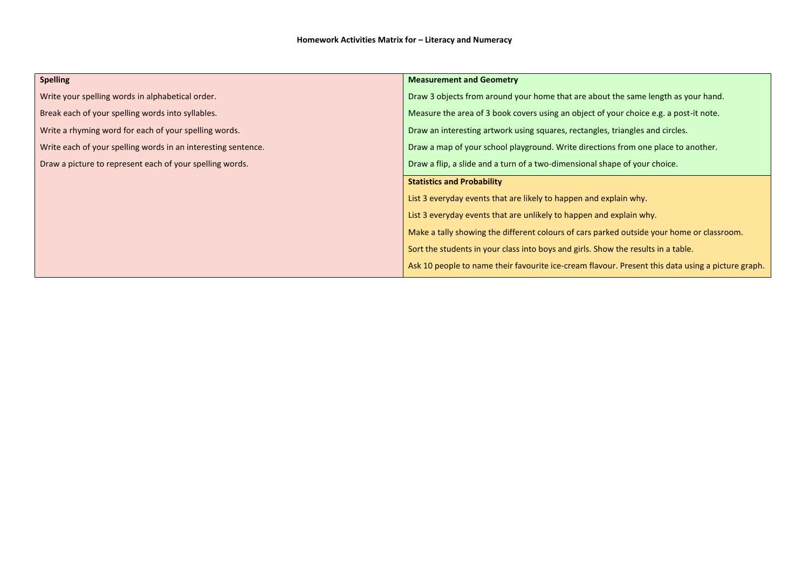| <b>Spelling</b>                                               | <b>Measurement and Geometry</b>                                                                   |  |
|---------------------------------------------------------------|---------------------------------------------------------------------------------------------------|--|
| Write your spelling words in alphabetical order.              | Draw 3 objects from around your home that are about the same length as your hand.                 |  |
| Break each of your spelling words into syllables.             | Measure the area of 3 book covers using an object of your choice e.g. a post-it note.             |  |
| Write a rhyming word for each of your spelling words.         | Draw an interesting artwork using squares, rectangles, triangles and circles.                     |  |
| Write each of your spelling words in an interesting sentence. | Draw a map of your school playground. Write directions from one place to another.                 |  |
| Draw a picture to represent each of your spelling words.      | Draw a flip, a slide and a turn of a two-dimensional shape of your choice.                        |  |
|                                                               | <b>Statistics and Probability</b>                                                                 |  |
|                                                               | List 3 everyday events that are likely to happen and explain why.                                 |  |
|                                                               | List 3 everyday events that are unlikely to happen and explain why.                               |  |
|                                                               | Make a tally showing the different colours of cars parked outside your home or classroom.         |  |
|                                                               | Sort the students in your class into boys and girls. Show the results in a table.                 |  |
|                                                               | Ask 10 people to name their favourite ice-cream flavour. Present this data using a picture graph. |  |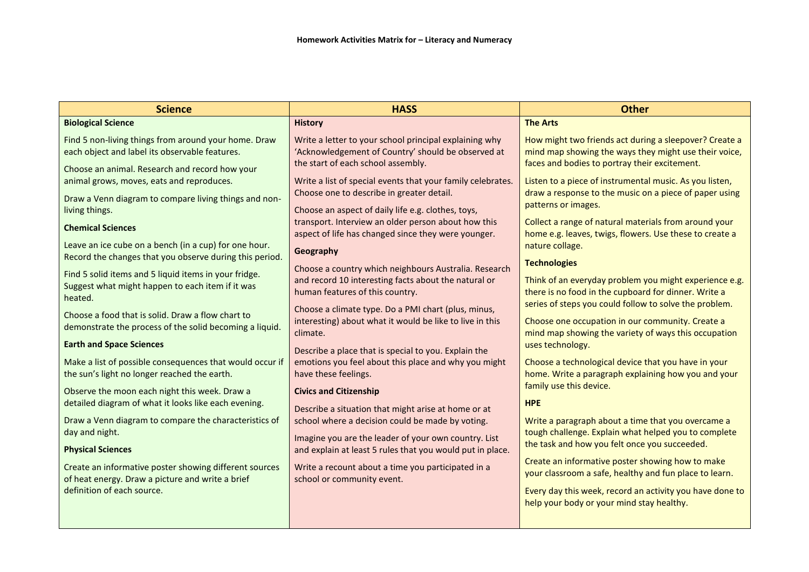| <b>Science</b>                                                                                                                                                                                                                                                                                                                                                                               | <b>HASS</b>                                                                                                                                                                                                                                                                                                                                                                                                                                   | <b>Other</b>                                                                                                                                                                                                                                                                                                                                                                                                             |
|----------------------------------------------------------------------------------------------------------------------------------------------------------------------------------------------------------------------------------------------------------------------------------------------------------------------------------------------------------------------------------------------|-----------------------------------------------------------------------------------------------------------------------------------------------------------------------------------------------------------------------------------------------------------------------------------------------------------------------------------------------------------------------------------------------------------------------------------------------|--------------------------------------------------------------------------------------------------------------------------------------------------------------------------------------------------------------------------------------------------------------------------------------------------------------------------------------------------------------------------------------------------------------------------|
| <b>Biological Science</b>                                                                                                                                                                                                                                                                                                                                                                    | <b>History</b>                                                                                                                                                                                                                                                                                                                                                                                                                                | <b>The Arts</b>                                                                                                                                                                                                                                                                                                                                                                                                          |
| Find 5 non-living things from around your home. Draw<br>each object and label its observable features.<br>Choose an animal. Research and record how your                                                                                                                                                                                                                                     | Write a letter to your school principal explaining why<br>'Acknowledgement of Country' should be observed at<br>the start of each school assembly.                                                                                                                                                                                                                                                                                            | How might two friends act during a sleepover? Create a<br>mind map showing the ways they might use their voice,<br>faces and bodies to portray their excitement.                                                                                                                                                                                                                                                         |
| animal grows, moves, eats and reproduces.<br>Draw a Venn diagram to compare living things and non-<br>living things.<br><b>Chemical Sciences</b><br>Leave an ice cube on a bench (in a cup) for one hour.<br>Record the changes that you observe during this period.<br>Find 5 solid items and 5 liquid items in your fridge.<br>Suggest what might happen to each item if it was<br>heated. | Write a list of special events that your family celebrates.<br>Choose one to describe in greater detail.<br>Choose an aspect of daily life e.g. clothes, toys,<br>transport. Interview an older person about how this<br>aspect of life has changed since they were younger.<br>Geography<br>Choose a country which neighbours Australia. Research<br>and record 10 interesting facts about the natural or<br>human features of this country. | Listen to a piece of instrumental music. As you listen,<br>draw a response to the music on a piece of paper using<br>patterns or images.<br>Collect a range of natural materials from around your<br>home e.g. leaves, twigs, flowers. Use these to create a<br>nature collage.<br><b>Technologies</b><br>Think of an everyday problem you might experience e.g.<br>there is no food in the cupboard for dinner. Write a |
| Choose a food that is solid. Draw a flow chart to<br>demonstrate the process of the solid becoming a liquid.<br><b>Earth and Space Sciences</b><br>Make a list of possible consequences that would occur if                                                                                                                                                                                  | Choose a climate type. Do a PMI chart (plus, minus,<br>interesting) about what it would be like to live in this<br>climate.<br>Describe a place that is special to you. Explain the<br>emotions you feel about this place and why you might                                                                                                                                                                                                   | series of steps you could follow to solve the problem.<br>Choose one occupation in our community. Create a<br>mind map showing the variety of ways this occupation<br>uses technology.<br>Choose a technological device that you have in your                                                                                                                                                                            |
| the sun's light no longer reached the earth.<br>Observe the moon each night this week. Draw a<br>detailed diagram of what it looks like each evening.<br>Draw a Venn diagram to compare the characteristics of                                                                                                                                                                               | have these feelings.<br><b>Civics and Citizenship</b><br>Describe a situation that might arise at home or at<br>school where a decision could be made by voting.                                                                                                                                                                                                                                                                              | home. Write a paragraph explaining how you and your<br>family use this device.<br><b>HPE</b><br>Write a paragraph about a time that you overcame a                                                                                                                                                                                                                                                                       |
| day and night.<br><b>Physical Sciences</b>                                                                                                                                                                                                                                                                                                                                                   | Imagine you are the leader of your own country. List<br>and explain at least 5 rules that you would put in place.                                                                                                                                                                                                                                                                                                                             | tough challenge. Explain what helped you to complete<br>the task and how you felt once you succeeded.<br>Create an informative poster showing how to make                                                                                                                                                                                                                                                                |
| Create an informative poster showing different sources<br>of heat energy. Draw a picture and write a brief<br>definition of each source.                                                                                                                                                                                                                                                     | Write a recount about a time you participated in a<br>school or community event.                                                                                                                                                                                                                                                                                                                                                              | your classroom a safe, healthy and fun place to learn.<br>Every day this week, record an activity you have done to<br>help your body or your mind stay healthy.                                                                                                                                                                                                                                                          |